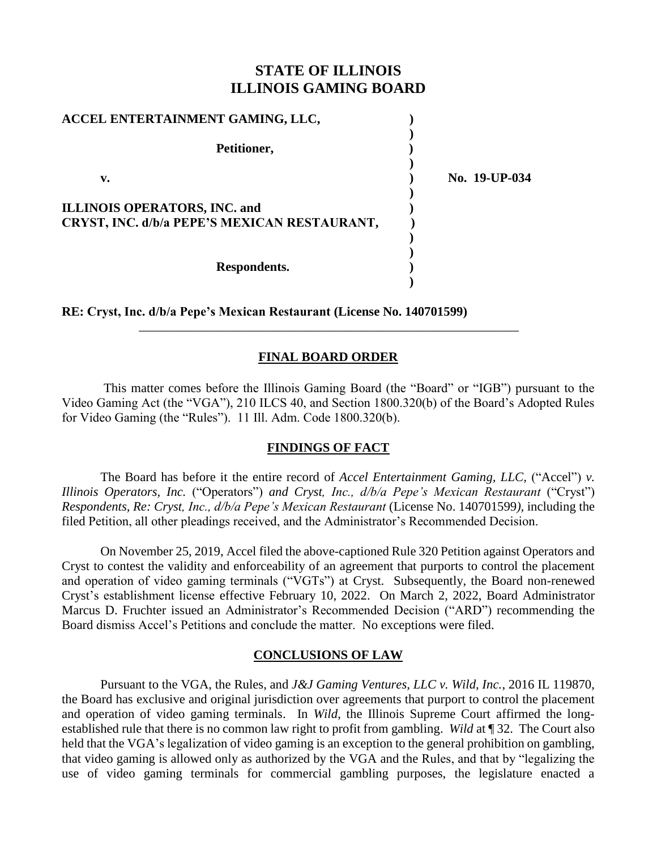# **STATE OF ILLINOIS ILLINOIS GAMING BOARD**

| ACCEL ENTERTAINMENT GAMING, LLC,                                                    |               |
|-------------------------------------------------------------------------------------|---------------|
| Petitioner,                                                                         |               |
| v.                                                                                  | No. 19-UP-034 |
| <b>ILLINOIS OPERATORS, INC. and</b><br>CRYST, INC. d/b/a PEPE'S MEXICAN RESTAURANT, |               |
| Respondents.                                                                        |               |

**RE: Cryst, Inc. d/b/a Pepe's Mexican Restaurant (License No. 140701599)**

## **FINAL BOARD ORDER**

\_\_\_\_\_\_\_\_\_\_\_\_\_\_\_\_\_\_\_\_\_\_\_\_\_\_\_\_\_\_\_\_\_\_\_\_\_\_\_\_\_\_\_\_\_\_\_\_\_\_\_\_\_\_\_\_\_\_\_

This matter comes before the Illinois Gaming Board (the "Board" or "IGB") pursuant to the Video Gaming Act (the "VGA"), 210 ILCS 40, and Section 1800.320(b) of the Board's Adopted Rules for Video Gaming (the "Rules"). 11 Ill. Adm. Code 1800.320(b).

### **FINDINGS OF FACT**

The Board has before it the entire record of *Accel Entertainment Gaming, LLC,* ("Accel") *v. Illinois Operators, Inc.* ("Operators") *and Cryst, Inc., d/b/a Pepe's Mexican Restaurant* ("Cryst") *Respondents, Re: Cryst, Inc., d/b/a Pepe's Mexican Restaurant* (License No. 140701599*),* including the filed Petition, all other pleadings received, and the Administrator's Recommended Decision.

On November 25, 2019, Accel filed the above-captioned Rule 320 Petition against Operators and Cryst to contest the validity and enforceability of an agreement that purports to control the placement and operation of video gaming terminals ("VGTs") at Cryst. Subsequently, the Board non-renewed Cryst's establishment license effective February 10, 2022. On March 2, 2022, Board Administrator Marcus D. Fruchter issued an Administrator's Recommended Decision ("ARD") recommending the Board dismiss Accel's Petitions and conclude the matter. No exceptions were filed.

#### **CONCLUSIONS OF LAW**

Pursuant to the VGA, the Rules, and *J&J Gaming Ventures, LLC v. Wild, Inc.*, 2016 IL 119870, the Board has exclusive and original jurisdiction over agreements that purport to control the placement and operation of video gaming terminals. In *Wild*, the Illinois Supreme Court affirmed the longestablished rule that there is no common law right to profit from gambling. *Wild* at ¶ 32. The Court also held that the VGA's legalization of video gaming is an exception to the general prohibition on gambling, that video gaming is allowed only as authorized by the VGA and the Rules, and that by "legalizing the use of video gaming terminals for commercial gambling purposes, the legislature enacted a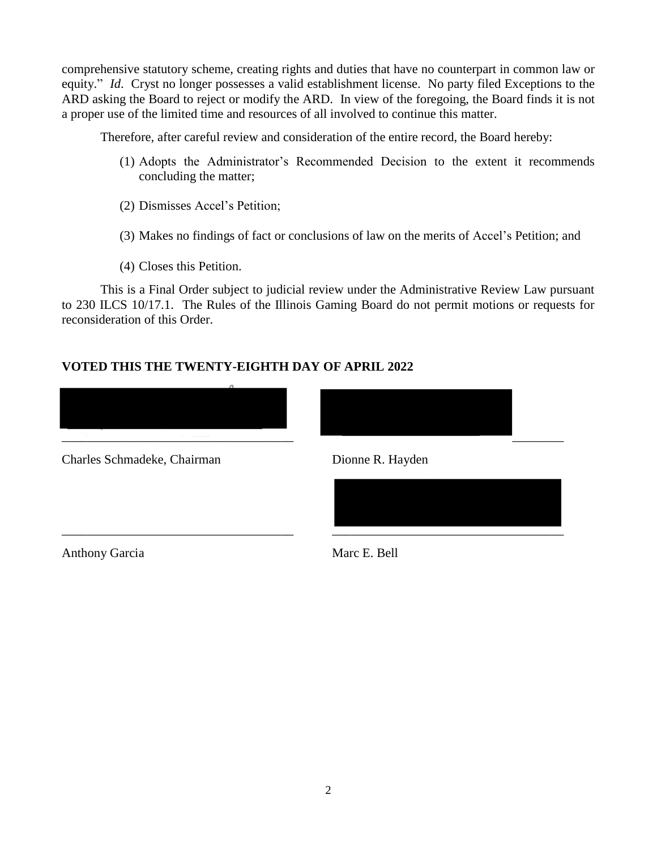comprehensive statutory scheme, creating rights and duties that have no counterpart in common law or equity." *Id*. Cryst no longer possesses a valid establishment license. No party filed Exceptions to the ARD asking the Board to reject or modify the ARD. In view of the foregoing, the Board finds it is not a proper use of the limited time and resources of all involved to continue this matter.

Therefore, after careful review and consideration of the entire record, the Board hereby:

- (1) Adopts the Administrator's Recommended Decision to the extent it recommends concluding the matter;
- (2) Dismisses Accel's Petition;
- (3) Makes no findings of fact or conclusions of law on the merits of Accel's Petition; and
- (4) Closes this Petition.

This is a Final Order subject to judicial review under the Administrative Review Law pursuant to 230 ILCS 10/17.1. The Rules of the Illinois Gaming Board do not permit motions or requests for reconsideration of this Order.

# **VOTED THIS THE TWENTY-EIGHTH DAY OF APRIL 2022**



Charles Schmadeke, Chairman Dionne R. Hayden



Anthony Garcia Marc E. Bell

\_\_\_\_\_\_\_\_\_\_\_\_\_\_\_\_\_\_\_\_\_\_\_\_\_\_\_\_\_\_\_\_\_\_\_\_ \_\_\_\_\_\_\_\_\_\_\_\_\_\_\_\_\_\_\_\_\_\_\_\_\_\_\_\_\_\_\_\_\_\_\_\_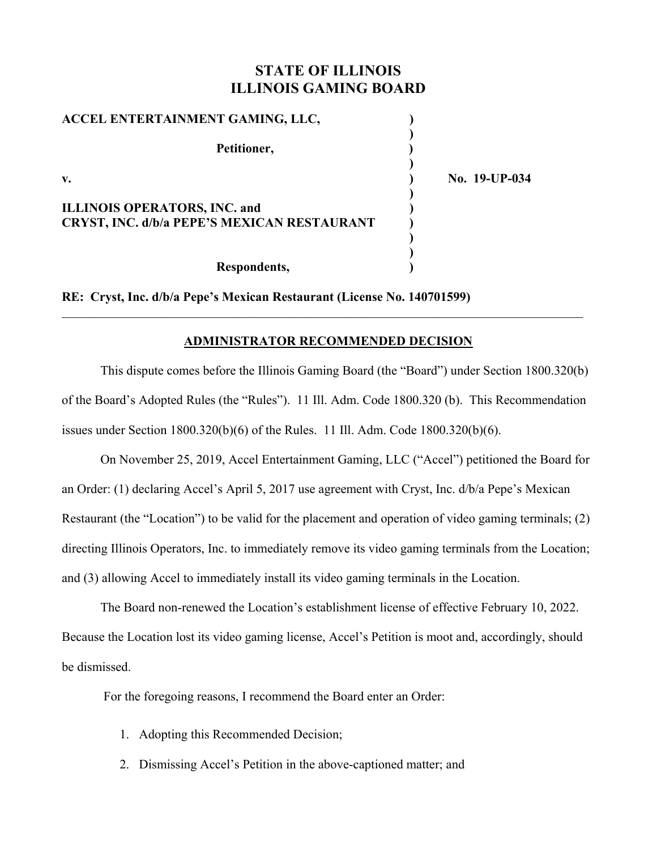# **STATE OF ILLINOIS ILLINOIS GAMING BOARD**

| ACCEL ENTERTAINMENT GAMING, LLC,                                                          |               |
|-------------------------------------------------------------------------------------------|---------------|
| Petitioner,                                                                               |               |
| $V_{\bullet}$                                                                             | No. 19-UP-034 |
| <b>ILLINOIS OPERATORS, INC. and</b><br><b>CRYST, INC. d/b/a PEPE'S MEXICAN RESTAURANT</b> |               |
| Respondents,                                                                              |               |

**RE: Cryst, Inc. d/b/a Pepe's Mexican Restaurant (License No. 140701599)**

### **ADMINISTRATOR RECOMMENDED DECISION**

This dispute comes before the Illinois Gaming Board (the "Board") under Section 1800.320(b) of the Board's Adopted Rules (the "Rules"). 11 Ill. Adm. Code 1800.320 (b). This Recommendation issues under Section 1800.320(b)(6) of the Rules. 11 Ill. Adm. Code 1800.320(b)(6).

On November 25, 2019, Accel Entertainment Gaming, LLC ("Accel") petitioned the Board for an Order: (1) declaring Accel's April 5, 2017 use agreement with Cryst, Inc. d/b/a Pepe's Mexican Restaurant (the "Location") to be valid for the placement and operation of video gaming terminals; (2) directing Illinois Operators, Inc. to immediately remove its video gaming terminals from the Location; and (3) allowing Accel to immediately install its video gaming terminals in the Location.

The Board non-renewed the Location's establishment license of effective February 10, 2022. Because the Location lost its video gaming license, Accel's Petition is moot and, accordingly, should be dismissed.

For the foregoing reasons, I recommend the Board enter an Order:

- 1. Adopting this Recommended Decision;
- 2. Dismissing Accel's Petition in the above-captioned matter; and